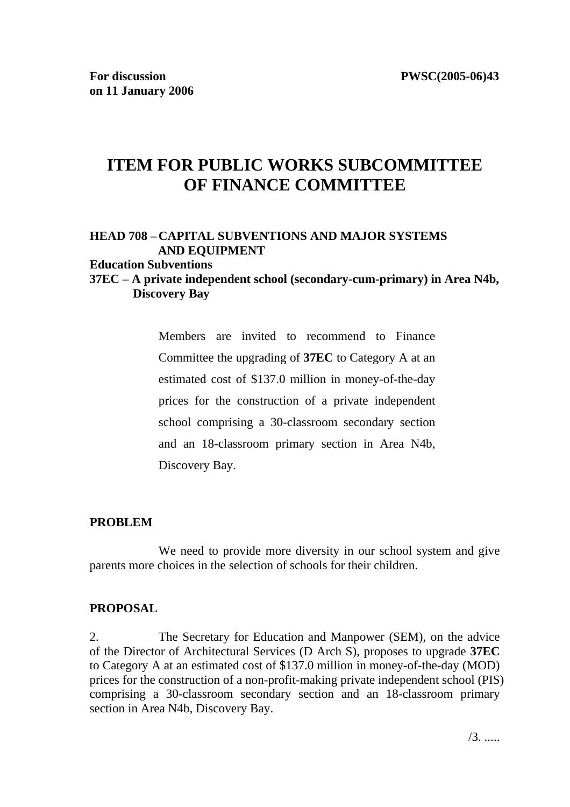# **ITEM FOR PUBLIC WORKS SUBCOMMITTEE OF FINANCE COMMITTEE**

## **HEAD 708 – CAPITAL SUBVENTIONS AND MAJOR SYSTEMS AND EQUIPMENT**

#### **Education Subventions**

### **37EC – A private independent school (secondary-cum-primary) in Area N4b, Discovery Bay**

Members are invited to recommend to Finance Committee the upgrading of **37EC** to Category A at an estimated cost of \$137.0 million in money-of-the-day prices for the construction of a private independent school comprising a 30-classroom secondary section and an 18-classroom primary section in Area N4b, Discovery Bay.

#### **PROBLEM**

We need to provide more diversity in our school system and give parents more choices in the selection of schools for their children.

#### **PROPOSAL**

2. The Secretary for Education and Manpower (SEM), on the advice of the Director of Architectural Services (D Arch S), proposes to upgrade **37EC** to Category A at an estimated cost of \$137.0 million in money-of-the-day (MOD) prices for the construction of a non-profit-making private independent school (PIS) comprising a 30-classroom secondary section and an 18-classroom primary section in Area N4b, Discovery Bay.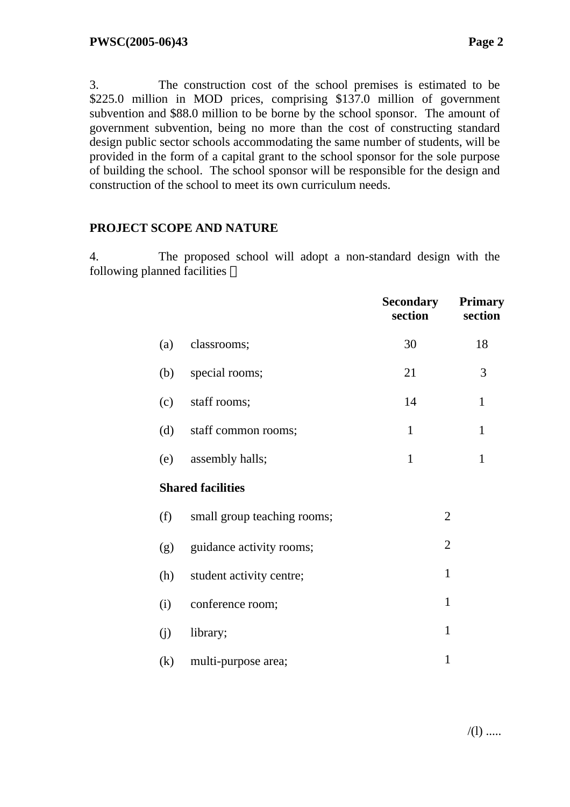3. The construction cost of the school premises is estimated to be \$225.0 million in MOD prices, comprising \$137.0 million of government subvention and \$88.0 million to be borne by the school sponsor. The amount of government subvention, being no more than the cost of constructing standard design public sector schools accommodating the same number of students, will be provided in the form of a capital grant to the school sponsor for the sole purpose of building the school. The school sponsor will be responsible for the design and construction of the school to meet its own curriculum needs.

#### **PROJECT SCOPE AND NATURE**

4. The proposed school will adopt a non-standard design with the following planned facilities

|     |                             | <b>Secondary</b><br>section | <b>Primary</b><br>section |
|-----|-----------------------------|-----------------------------|---------------------------|
| (a) | classrooms;                 | 30                          | 18                        |
| (b) | special rooms;              | 21                          | 3                         |
| (c) | staff rooms;                | 14                          | $\mathbf{1}$              |
| (d) | staff common rooms;         | $\mathbf{1}$                | $\mathbf{1}$              |
| (e) | assembly halls;             | $\mathbf{1}$                | $\mathbf{1}$              |
|     | <b>Shared facilities</b>    |                             |                           |
| (f) | small group teaching rooms; | $\overline{2}$              |                           |
| (g) | guidance activity rooms;    | $\overline{2}$              |                           |
| (h) | student activity centre;    | $\mathbf{1}$                |                           |
| (i) | conference room;            | $\mathbf{1}$                |                           |
| (j) | library;                    | $\mathbf{1}$                |                           |
| (k) | multi-purpose area;         | $\mathbf{1}$                |                           |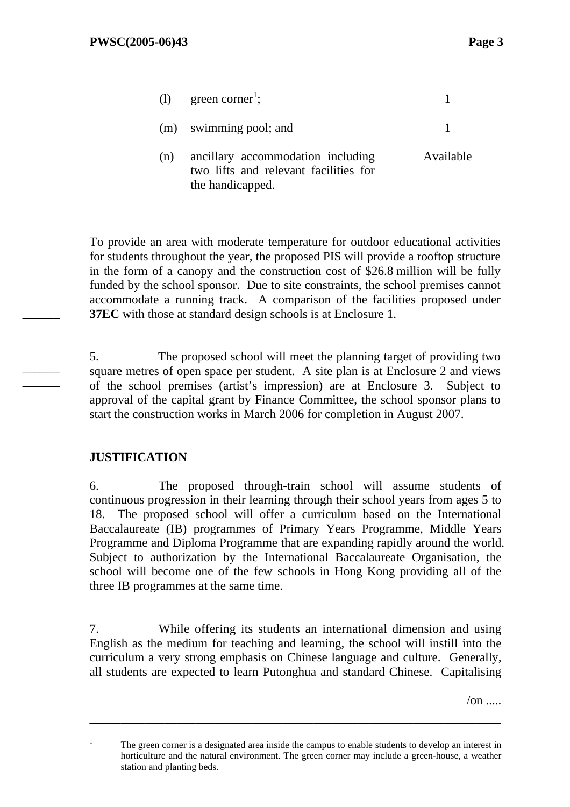|     | (1) green corner <sup>1</sup> ;                                                                |           |
|-----|------------------------------------------------------------------------------------------------|-----------|
|     | (m) swimming pool; and                                                                         |           |
| (n) | ancillary accommodation including<br>two lifts and relevant facilities for<br>the handicapped. | Available |

To provide an area with moderate temperature for outdoor educational activities for students throughout the year, the proposed PIS will provide a rooftop structure in the form of a canopy and the construction cost of \$26.8 million will be fully funded by the school sponsor. Due to site constraints, the school premises cannot accommodate a running track. A comparison of the facilities proposed under **37EC** with those at standard design schools is at Enclosure 1.

5. The proposed school will meet the planning target of providing two square metres of open space per student. A site plan is at Enclosure 2 and views of the school premises (artist's impression) are at Enclosure 3. Subject to approval of the capital grant by Finance Committee, the school sponsor plans to start the construction works in March 2006 for completion in August 2007.

### **JUSTIFICATION**

1

 $\overline{\phantom{a}}$ 

——— ———

> 6. The proposed through-train school will assume students of continuous progression in their learning through their school years from ages 5 to 18. The proposed school will offer a curriculum based on the International Baccalaureate (IB) programmes of Primary Years Programme, Middle Years Programme and Diploma Programme that are expanding rapidly around the world. Subject to authorization by the International Baccalaureate Organisation, the school will become one of the few schools in Hong Kong providing all of the three IB programmes at the same time.

> 7. While offering its students an international dimension and using English as the medium for teaching and learning, the school will instill into the curriculum a very strong emphasis on Chinese language and culture. Generally, all students are expected to learn Putonghua and standard Chinese. Capitalising

> > $\sqrt{on}$  ....

\_\_\_\_\_\_\_\_\_\_\_\_\_\_\_\_\_\_\_\_\_\_\_\_\_\_\_\_\_\_\_\_\_\_\_\_\_\_\_\_\_\_\_\_\_\_\_\_\_\_\_\_\_\_\_\_\_\_\_\_\_\_\_\_\_\_

The green corner is a designated area inside the campus to enable students to develop an interest in horticulture and the natural environment. The green corner may include a green-house, a weather station and planting beds.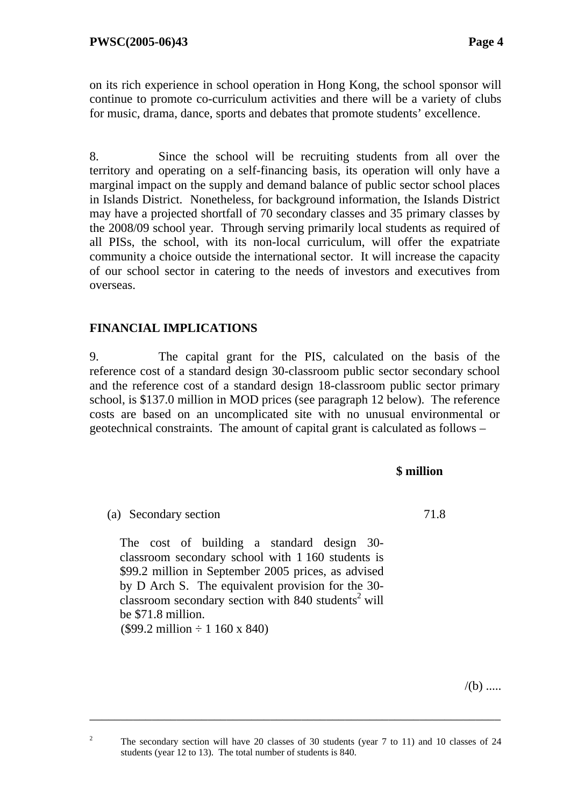on its rich experience in school operation in Hong Kong, the school sponsor will continue to promote co-curriculum activities and there will be a variety of clubs for music, drama, dance, sports and debates that promote students' excellence.

8. Since the school will be recruiting students from all over the territory and operating on a self-financing basis, its operation will only have a marginal impact on the supply and demand balance of public sector school places in Islands District. Nonetheless, for background information, the Islands District may have a projected shortfall of 70 secondary classes and 35 primary classes by the 2008/09 school year. Through serving primarily local students as required of all PISs, the school, with its non-local curriculum, will offer the expatriate community a choice outside the international sector. It will increase the capacity of our school sector in catering to the needs of investors and executives from overseas.

### **FINANCIAL IMPLICATIONS**

9. The capital grant for the PIS, calculated on the basis of the reference cost of a standard design 30-classroom public sector secondary school and the reference cost of a standard design 18-classroom public sector primary school, is \$137.0 million in MOD prices (see paragraph 12 below). The reference costs are based on an uncomplicated site with no unusual environmental or geotechnical constraints. The amount of capital grant is calculated as follows –

#### **\$ million**

71.8

(a) Secondary section

 The cost of building a standard design 30 classroom secondary school with 1 160 students is \$99.2 million in September 2005 prices, as advised by D Arch S. The equivalent provision for the 30  $c$ lassroom secondary section with 840 students<sup>2</sup> will be \$71.8 million.  $($99.2 \text{ million} \div 1160 \text{ x } $40)$ 

 $/(b)$  .....

\_\_\_\_\_\_\_\_\_\_\_\_\_\_\_\_\_\_\_\_\_\_\_\_\_\_\_\_\_\_\_\_\_\_\_\_\_\_\_\_\_\_\_\_\_\_\_\_\_\_\_\_\_\_\_\_\_\_\_\_\_\_\_\_\_\_

 $\overline{2}$ 

The secondary section will have 20 classes of 30 students (year 7 to 11) and 10 classes of 24 students (year 12 to 13). The total number of students is 840.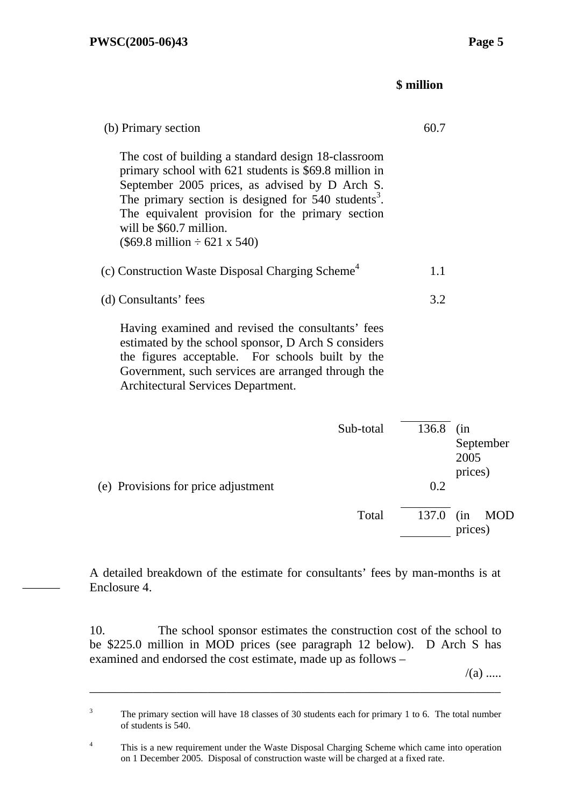———

#### **\$ million**

| (b) Primary section                                                                                                                                                                                                                                                                                                                                                    | 60.7      |                              |
|------------------------------------------------------------------------------------------------------------------------------------------------------------------------------------------------------------------------------------------------------------------------------------------------------------------------------------------------------------------------|-----------|------------------------------|
| The cost of building a standard design 18-classroom<br>primary school with 621 students is \$69.8 million in<br>September 2005 prices, as advised by D Arch S.<br>The primary section is designed for 540 students <sup>3</sup> .<br>The equivalent provision for the primary section<br>will be \$60.7 million.<br>$(\$69.8 \text{ million} \div 621 \text{ x } 540)$ |           |                              |
| (c) Construction Waste Disposal Charging Scheme <sup>4</sup>                                                                                                                                                                                                                                                                                                           | 1.1       |                              |
| (d) Consultants' fees                                                                                                                                                                                                                                                                                                                                                  | 3.2       |                              |
| Having examined and revised the consultants' fees<br>estimated by the school sponsor, D Arch S considers<br>the figures acceptable. For schools built by the<br>Government, such services are arranged through the<br>Architectural Services Department.                                                                                                               |           |                              |
| Sub-total                                                                                                                                                                                                                                                                                                                                                              | 136.8 (in | September<br>2005<br>prices) |
| (e) Provisions for price adjustment                                                                                                                                                                                                                                                                                                                                    | 0.2       |                              |
| Total                                                                                                                                                                                                                                                                                                                                                                  | 137.0 (in | <b>MOD</b><br>prices)        |
|                                                                                                                                                                                                                                                                                                                                                                        |           |                              |

A detailed breakdown of the estimate for consultants' fees by man-months is at Enclosure 4.

10. The school sponsor estimates the construction cost of the school to be \$225.0 million in MOD prices (see paragraph 12 below). D Arch S has examined and endorsed the cost estimate, made up as follows –

 $/(a)$  .....

\_\_\_\_\_\_\_\_\_\_\_\_\_\_\_\_\_\_\_\_\_\_\_\_\_\_\_\_\_\_\_\_\_\_\_\_\_\_\_\_\_\_\_\_\_\_\_\_\_\_\_\_\_\_\_\_\_\_\_\_\_\_\_\_\_\_

<sup>3</sup> The primary section will have 18 classes of 30 students each for primary 1 to 6. The total number of students is 540.

<sup>4</sup> This is a new requirement under the Waste Disposal Charging Scheme which came into operation on 1 December 2005. Disposal of construction waste will be charged at a fixed rate.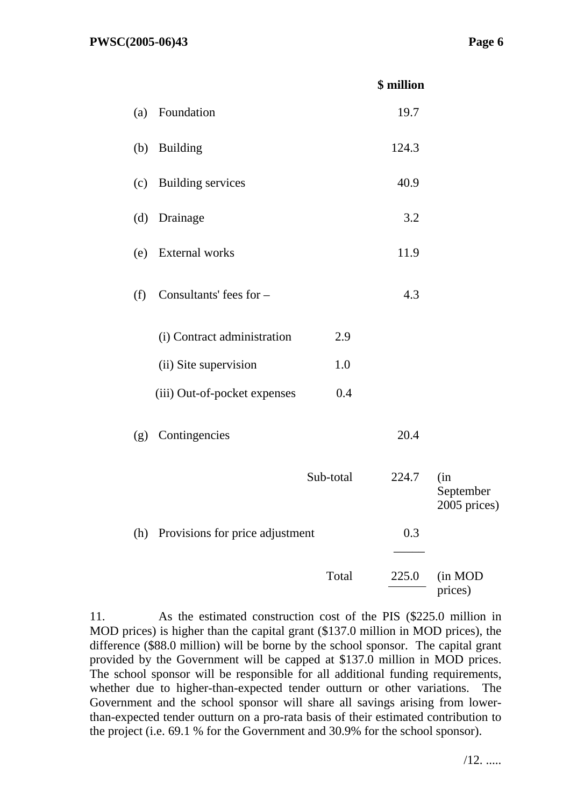|     |                                 |           | \$ million |                                  |
|-----|---------------------------------|-----------|------------|----------------------------------|
| (a) | Foundation                      |           | 19.7       |                                  |
| (b) | <b>Building</b>                 |           | 124.3      |                                  |
| (c) | <b>Building services</b>        |           | 40.9       |                                  |
| (d) | Drainage                        |           | 3.2        |                                  |
| (e) | External works                  |           | 11.9       |                                  |
| (f) | Consultants' fees for -         |           | 4.3        |                                  |
|     | (i) Contract administration     | 2.9       |            |                                  |
|     | (ii) Site supervision           | 1.0       |            |                                  |
|     | (iii) Out-of-pocket expenses    | 0.4       |            |                                  |
| (g) | Contingencies                   |           | 20.4       |                                  |
|     |                                 | Sub-total | 224.7      | (in<br>September<br>2005 prices) |
| (h) | Provisions for price adjustment |           | 0.3        |                                  |
|     |                                 | Total     | 225.0      | (in MOD<br>prices)               |

11. As the estimated construction cost of the PIS (\$225.0 million in MOD prices) is higher than the capital grant (\$137.0 million in MOD prices), the difference (\$88.0 million) will be borne by the school sponsor. The capital grant provided by the Government will be capped at \$137.0 million in MOD prices. The school sponsor will be responsible for all additional funding requirements, whether due to higher-than-expected tender outturn or other variations. The Government and the school sponsor will share all savings arising from lowerthan-expected tender outturn on a pro-rata basis of their estimated contribution to the project (i.e. 69.1 % for the Government and 30.9% for the school sponsor).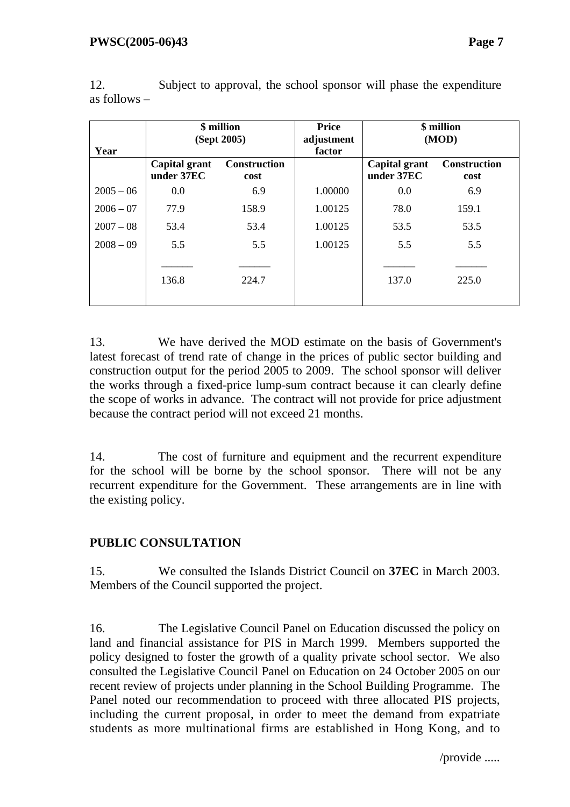| Year        | \$ million<br>(Sept 2005)   |                             | <b>Price</b><br>adjustment<br>factor | \$ million<br>(MOD)         |                             |  |
|-------------|-----------------------------|-----------------------------|--------------------------------------|-----------------------------|-----------------------------|--|
|             | Capital grant<br>under 37EC | <b>Construction</b><br>cost |                                      | Capital grant<br>under 37EC | <b>Construction</b><br>cost |  |
| $2005 - 06$ | 0.0                         | 6.9                         | 1.00000                              | 0.0                         | 6.9                         |  |
| $2006 - 07$ | 77.9                        | 158.9                       | 1.00125                              | 78.0                        | 159.1                       |  |
| $2007 - 08$ | 53.4                        | 53.4                        | 1.00125                              | 53.5                        | 53.5                        |  |
| $2008 - 09$ | 5.5                         | 5.5                         | 1.00125                              | 5.5                         | 5.5                         |  |
|             | 136.8                       | 224.7                       |                                      | 137.0                       | 225.0                       |  |

12. Subject to approval, the school sponsor will phase the expenditure as follows –

13. We have derived the MOD estimate on the basis of Government's latest forecast of trend rate of change in the prices of public sector building and construction output for the period 2005 to 2009. The school sponsor will deliver the works through a fixed-price lump-sum contract because it can clearly define the scope of works in advance. The contract will not provide for price adjustment because the contract period will not exceed 21 months.

14. The cost of furniture and equipment and the recurrent expenditure for the school will be borne by the school sponsor. There will not be any recurrent expenditure for the Government. These arrangements are in line with the existing policy.

## **PUBLIC CONSULTATION**

15. We consulted the Islands District Council on **37EC** in March 2003. Members of the Council supported the project.

16. The Legislative Council Panel on Education discussed the policy on land and financial assistance for PIS in March 1999. Members supported the policy designed to foster the growth of a quality private school sector. We also consulted the Legislative Council Panel on Education on 24 October 2005 on our recent review of projects under planning in the School Building Programme. The Panel noted our recommendation to proceed with three allocated PIS projects, including the current proposal, in order to meet the demand from expatriate students as more multinational firms are established in Hong Kong, and to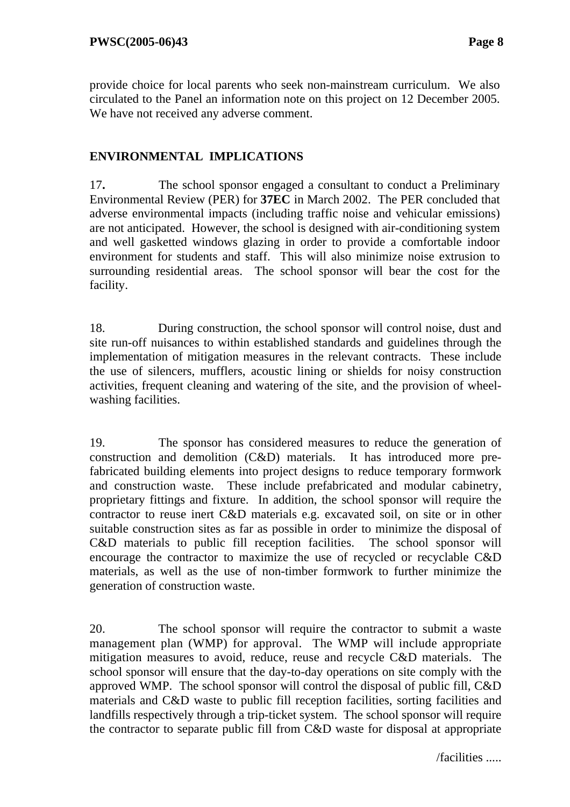provide choice for local parents who seek non-mainstream curriculum. We also circulated to the Panel an information note on this project on 12 December 2005. We have not received any adverse comment.

### **ENVIRONMENTAL IMPLICATIONS**

17**.** The school sponsor engaged a consultant to conduct a Preliminary Environmental Review (PER) for **37EC** in March 2002. The PER concluded that adverse environmental impacts (including traffic noise and vehicular emissions) are not anticipated. However, the school is designed with air-conditioning system and well gasketted windows glazing in order to provide a comfortable indoor environment for students and staff. This will also minimize noise extrusion to surrounding residential areas. The school sponsor will bear the cost for the facility.

18. During construction, the school sponsor will control noise, dust and site run-off nuisances to within established standards and guidelines through the implementation of mitigation measures in the relevant contracts. These include the use of silencers, mufflers, acoustic lining or shields for noisy construction activities, frequent cleaning and watering of the site, and the provision of wheelwashing facilities.

19. The sponsor has considered measures to reduce the generation of construction and demolition (C&D) materials. It has introduced more prefabricated building elements into project designs to reduce temporary formwork and construction waste. These include prefabricated and modular cabinetry, proprietary fittings and fixture. In addition, the school sponsor will require the contractor to reuse inert C&D materials e.g. excavated soil, on site or in other suitable construction sites as far as possible in order to minimize the disposal of C&D materials to public fill reception facilities. The school sponsor will encourage the contractor to maximize the use of recycled or recyclable C&D materials, as well as the use of non-timber formwork to further minimize the generation of construction waste.

20. The school sponsor will require the contractor to submit a waste management plan (WMP) for approval. The WMP will include appropriate mitigation measures to avoid, reduce, reuse and recycle C&D materials. The school sponsor will ensure that the day-to-day operations on site comply with the approved WMP. The school sponsor will control the disposal of public fill, C&D materials and C&D waste to public fill reception facilities, sorting facilities and landfills respectively through a trip-ticket system. The school sponsor will require the contractor to separate public fill from C&D waste for disposal at appropriate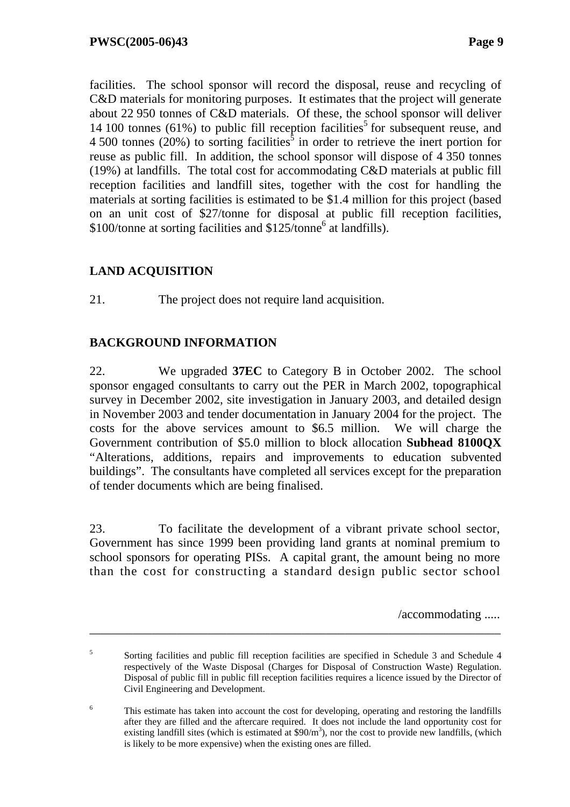facilities. The school sponsor will record the disposal, reuse and recycling of C&D materials for monitoring purposes. It estimates that the project will generate about 22 950 tonnes of C&D materials. Of these, the school sponsor will deliver 14 100 tonnes (61%) to public fill reception facilities<sup>5</sup> for subsequent reuse, and 4 500 tonnes (20%) to sorting facilities<sup>5</sup> in order to retrieve the inert portion for reuse as public fill. In addition, the school sponsor will dispose of 4 350 tonnes (19%) at landfills. The total cost for accommodating C&D materials at public fill reception facilities and landfill sites, together with the cost for handling the materials at sorting facilities is estimated to be \$1.4 million for this project (based on an unit cost of \$27/tonne for disposal at public fill reception facilities, \$100/tonne at sorting facilities and \$125/tonne<sup>6</sup> at landfills).

## **LAND ACQUISITION**

21. The project does not require land acquisition.

### **BACKGROUND INFORMATION**

22. We upgraded **37EC** to Category B in October 2002. The school sponsor engaged consultants to carry out the PER in March 2002, topographical survey in December 2002, site investigation in January 2003, and detailed design in November 2003 and tender documentation in January 2004 for the project. The costs for the above services amount to \$6.5 million. We will charge the Government contribution of \$5.0 million to block allocation **Subhead 8100QX** "Alterations, additions, repairs and improvements to education subvented buildings". The consultants have completed all services except for the preparation of tender documents which are being finalised.

23. To facilitate the development of a vibrant private school sector, Government has since 1999 been providing land grants at nominal premium to school sponsors for operating PISs. A capital grant, the amount being no more than the cost for constructing a standard design public sector school

/accommodating .....

\_\_\_\_\_\_\_\_\_\_\_\_\_\_\_\_\_\_\_\_\_\_\_\_\_\_\_\_\_\_\_\_\_\_\_\_\_\_\_\_\_\_\_\_\_\_\_\_\_\_\_\_\_\_\_\_\_\_\_\_\_\_\_\_\_\_

6 This estimate has taken into account the cost for developing, operating and restoring the landfills after they are filled and the aftercare required. It does not include the land opportunity cost for existing landfill sites (which is estimated at  $$90/m<sup>3</sup>$ ), nor the cost to provide new landfills, (which is likely to be more expensive) when the existing ones are filled.

<sup>5</sup> Sorting facilities and public fill reception facilities are specified in Schedule 3 and Schedule 4 respectively of the Waste Disposal (Charges for Disposal of Construction Waste) Regulation. Disposal of public fill in public fill reception facilities requires a licence issued by the Director of Civil Engineering and Development.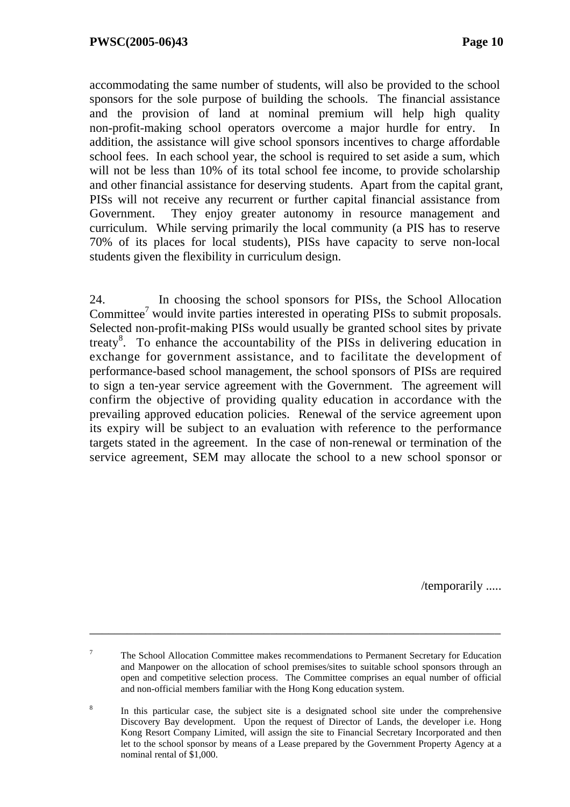accommodating the same number of students, will also be provided to the school sponsors for the sole purpose of building the schools. The financial assistance and the provision of land at nominal premium will help high quality non-profit-making school operators overcome a major hurdle for entry. In addition, the assistance will give school sponsors incentives to charge affordable school fees. In each school year, the school is required to set aside a sum, which will not be less than 10% of its total school fee income, to provide scholarship and other financial assistance for deserving students. Apart from the capital grant, PISs will not receive any recurrent or further capital financial assistance from Government. They enjoy greater autonomy in resource management and curriculum. While serving primarily the local community (a PIS has to reserve 70% of its places for local students), PISs have capacity to serve non-local students given the flexibility in curriculum design.

24. In choosing the school sponsors for PISs, the School Allocation Committee<sup>7</sup> would invite parties interested in operating PISs to submit proposals. Selected non-profit-making PISs would usually be granted school sites by private treaty<sup>8</sup>. To enhance the accountability of the PISs in delivering education in exchange for government assistance, and to facilitate the development of performance-based school management, the school sponsors of PISs are required to sign a ten-year service agreement with the Government. The agreement will confirm the objective of providing quality education in accordance with the prevailing approved education policies. Renewal of the service agreement upon its expiry will be subject to an evaluation with reference to the performance targets stated in the agreement. In the case of non-renewal or termination of the service agreement, SEM may allocate the school to a new school sponsor or

/temporarily .....

\_\_\_\_\_\_\_\_\_\_\_\_\_\_\_\_\_\_\_\_\_\_\_\_\_\_\_\_\_\_\_\_\_\_\_\_\_\_\_\_\_\_\_\_\_\_\_\_\_\_\_\_\_\_\_\_\_\_\_\_\_\_\_\_\_\_

<sup>7</sup> The School Allocation Committee makes recommendations to Permanent Secretary for Education and Manpower on the allocation of school premises/sites to suitable school sponsors through an open and competitive selection process. The Committee comprises an equal number of official and non-official members familiar with the Hong Kong education system.

<sup>&</sup>lt;sup>8</sup> In this particular case, the subject site is a designated school site under the comprehensive Discovery Bay development. Upon the request of Director of Lands, the developer i.e. Hong Kong Resort Company Limited, will assign the site to Financial Secretary Incorporated and then let to the school sponsor by means of a Lease prepared by the Government Property Agency at a nominal rental of \$1,000.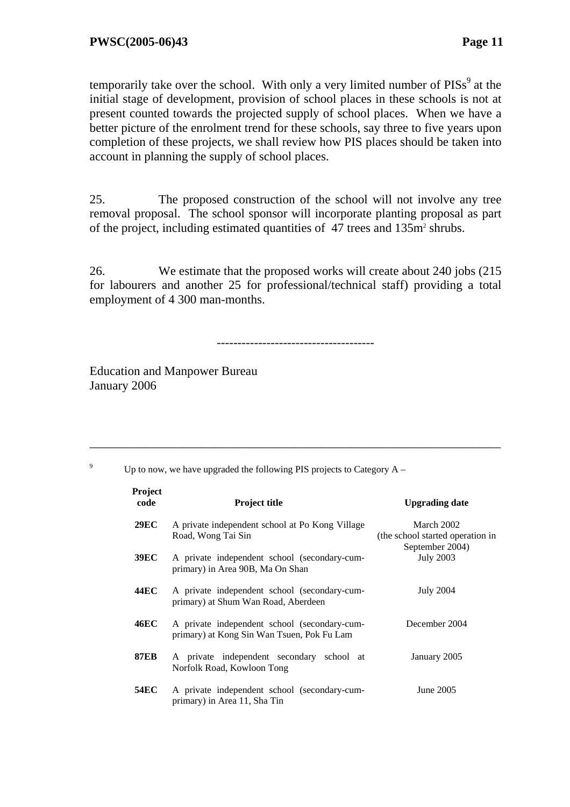temporarily take over the school. With only a very limited number of  $PISS<sup>9</sup>$  at the initial stage of development, provision of school places in these schools is not at present counted towards the projected supply of school places. When we have a better picture of the enrolment trend for these schools, say three to five years upon completion of these projects, we shall review how PIS places should be taken into account in planning the supply of school places.

25. The proposed construction of the school will not involve any tree removal proposal. The school sponsor will incorporate planting proposal as part of the project, including estimated quantities of 47 trees and 135m<sup>2</sup> shrubs.

26. We estimate that the proposed works will create about 240 jobs (215 for labourers and another 25 for professional/technical staff) providing a total employment of 4 300 man-months.

--------------------------------------

\_\_\_\_\_\_\_\_\_\_\_\_\_\_\_\_\_\_\_\_\_\_\_\_\_\_\_\_\_\_\_\_\_\_\_\_\_\_\_\_\_\_\_\_\_\_\_\_\_\_\_\_\_\_\_\_\_\_\_\_\_\_\_\_\_\_

Education and Manpower Bureau January 2006

9 Up to now, we have upgraded the following PIS projects to Category  $A -$ 

| Project<br>code | <b>Project title</b>                                                                       | <b>Upgrading date</b>                                             |
|-----------------|--------------------------------------------------------------------------------------------|-------------------------------------------------------------------|
| <b>29EC</b>     | A private independent school at Po Kong Village<br>Road, Wong Tai Sin                      | March 2002<br>(the school started operation in<br>September 2004) |
| <b>39EC</b>     | A private independent school (secondary-cum-<br>primary) in Area 90B, Ma On Shan           | <b>July 2003</b>                                                  |
| 44EC            | A private independent school (secondary-cum-<br>primary) at Shum Wan Road, Aberdeen        | <b>July 2004</b>                                                  |
| <b>46EC</b>     | A private independent school (secondary-cum-<br>primary) at Kong Sin Wan Tsuen, Pok Fu Lam | December 2004                                                     |
| <b>87EB</b>     | A private independent secondary school at<br>Norfolk Road, Kowloon Tong                    | January 2005                                                      |
| <b>54EC</b>     | A private independent school (secondary-cum-<br>primary) in Area 11, Sha Tin               | June 2005                                                         |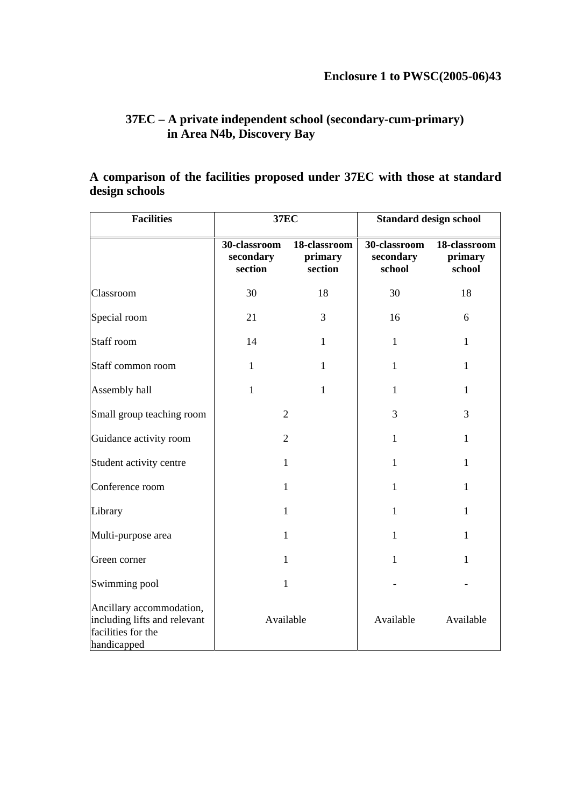### **37EC – A private independent school (secondary-cum-primary) in Area N4b, Discovery Bay**

### **A comparison of the facilities proposed under 37EC with those at standard design schools**

| <b>Facilities</b>                                                                             | <b>37EC</b>                          |                                    | <b>Standard design school</b>       |                                   |  |
|-----------------------------------------------------------------------------------------------|--------------------------------------|------------------------------------|-------------------------------------|-----------------------------------|--|
|                                                                                               | 30-classroom<br>secondary<br>section | 18-classroom<br>primary<br>section | 30-classroom<br>secondary<br>school | 18-classroom<br>primary<br>school |  |
| Classroom                                                                                     | 30                                   | 18                                 | 30                                  | 18                                |  |
| Special room                                                                                  | 21                                   | 3                                  | 16                                  | 6                                 |  |
| Staff room                                                                                    | 14                                   | $\mathbf{1}$                       | $\mathbf{1}$                        | 1                                 |  |
| Staff common room                                                                             | $\mathbf{1}$                         | $\mathbf{1}$                       | $\mathbf{1}$                        | $\mathbf{1}$                      |  |
| Assembly hall                                                                                 | $\mathbf{1}$                         | $\mathbf{1}$                       | $\mathbf{1}$                        | 1                                 |  |
| Small group teaching room                                                                     | $\overline{2}$                       |                                    | 3                                   | 3                                 |  |
| Guidance activity room                                                                        | $\overline{2}$                       |                                    | $\mathbf{1}$                        | 1                                 |  |
| Student activity centre                                                                       | $\mathbf{1}$                         |                                    | $\mathbf{1}$                        | $\mathbf{1}$                      |  |
| Conference room                                                                               | $\mathbf{1}$                         |                                    | $\mathbf{1}$                        | 1                                 |  |
| Library                                                                                       | $\mathbf{1}$                         |                                    | $\mathbf{1}$                        | 1                                 |  |
| Multi-purpose area                                                                            | $\mathbf{1}$                         |                                    | $\mathbf{1}$                        | $\mathbf{1}$                      |  |
| Green corner                                                                                  | $\mathbf{1}$                         |                                    | $\mathbf{1}$                        | $\mathbf{1}$                      |  |
| Swimming pool                                                                                 | $\mathbf{1}$                         |                                    |                                     |                                   |  |
| Ancillary accommodation,<br>including lifts and relevant<br>facilities for the<br>handicapped | Available                            |                                    | Available                           | Available                         |  |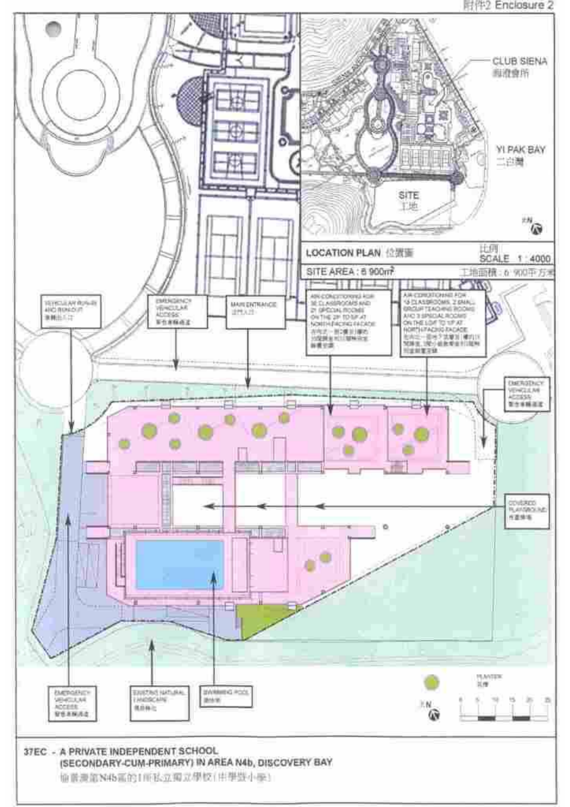#### 附件2 Enclosure 2

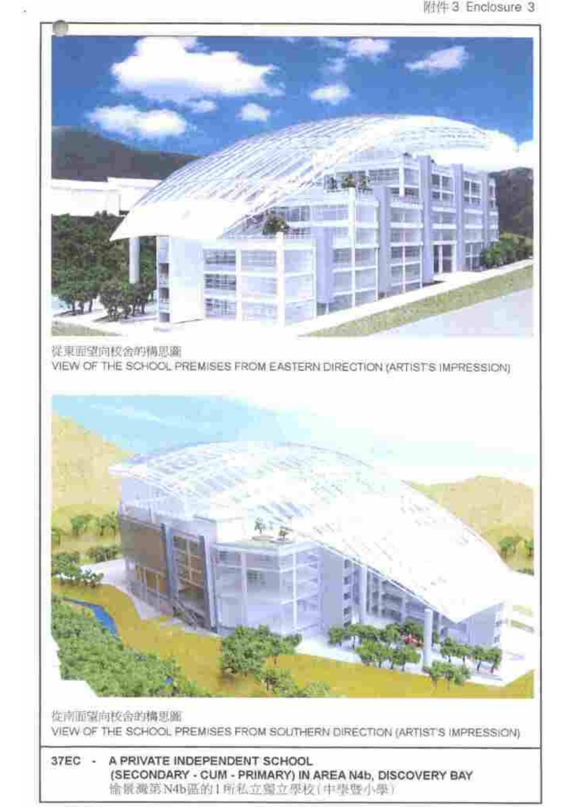

從東軍望向校舍的構思圖 VIEW OF THE SCHOOL PREMISES FROM EASTERN DIRECTION (ARTISTS IMPRESSION)



佐南面望向校舍的構思圖 VIEW OF THE SCHOOL PREMISES FROM SOLITHERN DIRECTION (ARTIST'S IMPRESSION)

#### 37EC -A PRIVATE INDEPENDENT SCHOOL (SECONDARY - CUM - PRIMARY) IN AREA N4b, DISCOVERY BAY 愉紧减第N4b强的1所私立偏立學校(中學暨小學)